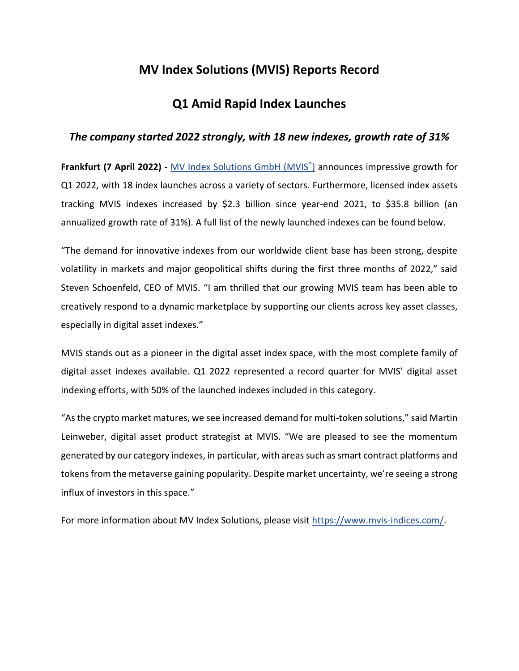# **MV Index Solutions (MVIS) Reports Record**

## **Q1 Amid Rapid Index Launches**

### *The company started 2022 strongly, with 18 new indexes, growth rate of 31%*

**Frankfurt (7 April 2022)** - [MV Index Solutions GmbH \(MVIS](https://www.mvis-indices.com/?utm_source=mvis&utm_medium=pressrelease&utm_campaign=announcement)[®](https://www.mvis-indices.com/?utm_source=mvis&utm_medium=pressrelease&utm_campaign=announcement) [\)](https://www.mvis-indices.com/) announces impressive growth for Q1 2022, with 18 index launches across a variety of sectors. Furthermore, licensed index assets tracking MVIS indexes increased by \$2.3 billion since year-end 2021, to \$35.8 billion (an annualized growth rate of 31%). A full list of the newly launched indexes can be found below.

"The demand for innovative indexes from our worldwide client base has been strong, despite volatility in markets and major geopolitical shifts during the first three months of 2022," said Steven Schoenfeld, CEO of MVIS. "I am thrilled that our growing MVIS team has been able to creatively respond to a dynamic marketplace by supporting our clients across key asset classes, especially in digital asset indexes."

MVIS stands out as a pioneer in the digital asset index space, with the most complete family of digital asset indexes available. Q1 2022 represented a record quarter for MVIS' digital asset indexing efforts, with 50% of the launched indexes included in this category.

"As the crypto market matures, we see increased demand for multi-token solutions," said Martin Leinweber, digital asset product strategist at MVIS. "We are pleased to see the momentum generated by our category indexes, in particular, with areas such as smart contract platforms and tokens from the metaverse gaining popularity. Despite market uncertainty, we're seeing a strong influx of investors in this space."

For more information about MV Index Solutions, please visit [https://www.mvis-indices.com/.](https://www.mvis-indices.com/)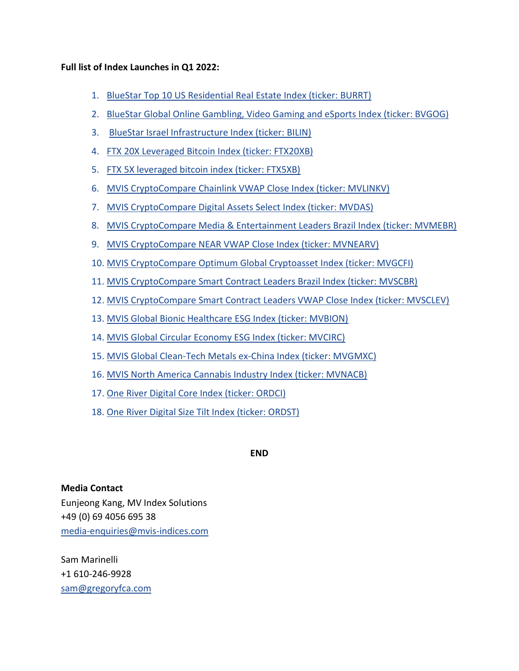### **Full list of Index Launches in Q1 2022:**

- 1. [BlueStar Top 10 US Residential Real Estate Index \(ticker: BURRT\)](https://www.mvis-indices.com/indices/sector/bluestar-top-10-us-residential-real-estate?utm_source=mvis&utm_medium=pressrelease&utm_campaign=announcement)
- 2. [BlueStar Global Online Gambling, Video Gaming and eSports Index \(ticker: BVGOG\)](https://www.mvis-indices.com/indices/sector/bluestar-global-online-gambling-video-gaming-and-esports?utm_source=mvis&utm_medium=pressrelease&utm_campaign=announcement)
- 3. [BlueStar Israel Infrastructure Index \(ticker: BILIN\)](https://www.mvis-indices.com/indices/sector/bluestar-israel-infrastructure?utm_source=mvis&utm_medium=pressrelease&utm_campaign=announcement)
- 4. [FTX 20X Leveraged Bitcoin Index \(ticker: FTX20XB\)](https://www.mvis-indices.com/indices/customised/ftx-20x-leveraged-bitcoin?utm_source=mvis&utm_medium=pressrelease&utm_campaign=announcement)
- 5. [FTX 5X leveraged bitcoin index \(ticker: FTX5XB\)](https://www.mvis-indices.com/indices/customised/ftx-5x-leveraged-bitcoin)
- 6. [MVIS CryptoCompare Chainlink VWAP Close Index \(ticker: MVLINKV\)](https://www.mvis-indices.com/indices/digital-assets/mvis-cryptocompare-chainlink-vwap-close?utm_source=mvis&utm_medium=pressrelease&utm_campaign=announcement)
- 7. [MVIS CryptoCompare Digital Assets Select Index \(ticker: MVDAS\)](https://www.mvis-indices.com/indices/digital-assets/mvis-cryptocompare-digital-asset-select?utm_source=mvis&utm_medium=pressrelease&utm_campaign=announcement)
- 8. [MVIS CryptoCompare Media & Entertainment Leaders Brazil Index \(ticker: MVMEBR\)](https://www.mvis-indices.com/indices/digital-assets/mvis-cryptocompare-media-entertainment-leaders-brazil?utm_source=mvis&utm_medium=pressrelease&utm_campaign=announcement)
- 9. [MVIS CryptoCompare NEAR VWAP Close Index \(ticker: MVNEARV\)](https://www.mvis-indices.com/indices/digital-assets/mvis-cryptocompare-near-vwap-close?utm_source=mvis&utm_medium=pressrelease&utm_campaign=announcement)
- 10. [MVIS CryptoCompare Optimum Global Cryptoasset Index \(ticker: MVGCFI\)](https://www.mvis-indices.com/indices/digital-assets/mvis-cryptocompare-optimum-global-cryptoasset?utm_source=mvis&utm_medium=pressrelease&utm_campaign=announcement)
- 11. [MVIS CryptoCompare Smart Contract Leaders Brazil Index \(ticker: MVSCBR\)](https://www.mvis-indices.com/indices/digital-assets/mvis-cryptocompare-smart-contract-leaders-brazil?utm_source=mvis&utm_medium=pressrelease&utm_campaign=announcement)
- 12. [MVIS CryptoCompare Smart Contract Leaders VWAP Close Index \(ticker: MVSCLEV\)](https://www.mvis-indices.com/indices/digital-assets/mvis-cryptocompare-smart-contract-leaders-vwap-close?utm_source=mvis&utm_medium=pressrelease&utm_campaign=announcement)
- 13. [MVIS Global Bionic Healthcare ESG Index \(ticker: MVBION\)](https://www.mvis-indices.com/indices/sector/mvis-global-bionic-healthcare-esg?utm_source=mvis&utm_medium=pressrelease&utm_campaign=announcement)
- 14. [MVIS Global Circular Economy ESG Index \(ticker: MVCIRC\)](https://www.mvis-indices.com/indices/sector/mvis-global-circular-economy-esg?utm_source=mvis&utm_medium=pressrelease&utm_campaign=announcement)
- 15. [MVIS Global Clean-Tech Metals ex-China Index \(ticker: MVGMXC\)](https://www.mvis-indices.com/indices/hard-asset/mvis-global-clean-tech-metals-ex-china?utm_source=mvis&utm_medium=pressrelease&utm_campaign=announcement)
- 16. [MVIS North America Cannabis Industry Index \(ticker: MVNACB\)](https://www.mvis-indices.com/indices/sector/mvis-north-america-cannabis-industry?utm_source=mvis&utm_medium=pressrelease&utm_campaign=announcement)
- 17. [One River Digital Core Index \(ticker: ORDCI\)](https://www.mvis-indices.com/indices/customised/one-river-digital-core?utm_source=mvis&utm_medium=pressrelease&utm_campaign=announcement)
- 18. [One River Digital Size Tilt Index \(ticker: ORDST\)](https://www.mvis-indices.com/indices/customised/one-river-digital-size-tilt?utm_source=mvis&utm_medium=pressrelease&utm_campaign=announcement)

**END**

## **Media Contact**

Eunjeong Kang, MV Index Solutions +49 (0) 69 4056 695 38 [media-enquiries@mvis-indices.com](mailto:media-enquiries@mvis-indices.com)

Sam Marinelli +1 610-246-9928 [sam@gregoryfca.com](mailto:sam@gregoryfca.com)